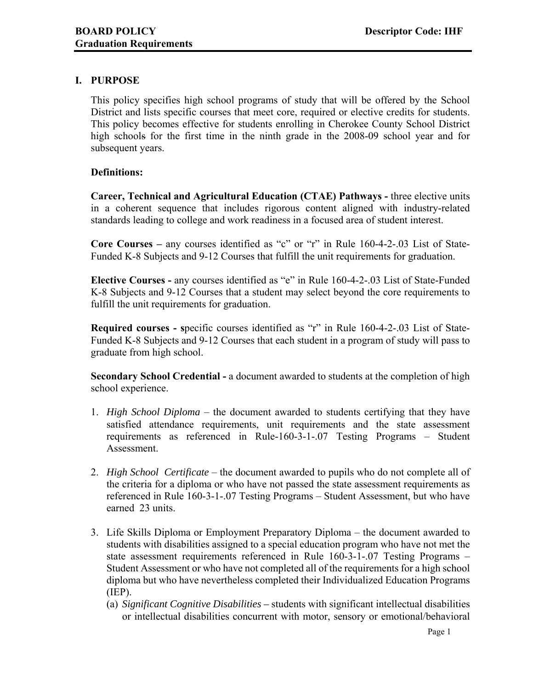## **I. PURPOSE**

This policy specifies high school programs of study that will be offered by the School District and lists specific courses that meet core, required or elective credits for students. This policy becomes effective for students enrolling in Cherokee County School District high schools for the first time in the ninth grade in the 2008-09 school year and for subsequent years.

## **Definitions:**

**Career, Technical and Agricultural Education (CTAE) Pathways -** three elective units in a coherent sequence that includes rigorous content aligned with industry-related standards leading to college and work readiness in a focused area of student interest.

**Core Courses –** any courses identified as "c" or "r" in Rule 160-4-2-.03 List of State-Funded K-8 Subjects and 9-12 Courses that fulfill the unit requirements for graduation.

**Elective Courses -** any courses identified as "e" in Rule 160-4-2-.03 List of State-Funded K-8 Subjects and 9-12 Courses that a student may select beyond the core requirements to fulfill the unit requirements for graduation.

**Required courses - s**pecific courses identified as "r" in Rule 160-4-2-.03 List of State-Funded K-8 Subjects and 9-12 Courses that each student in a program of study will pass to graduate from high school.

**Secondary School Credential -** a document awarded to students at the completion of high school experience.

- 1. *High School Diploma* the document awarded to students certifying that they have satisfied attendance requirements, unit requirements and the state assessment requirements as referenced in Rule-160-3-1-.07 Testing Programs – Student Assessment.
- 2. *High School Certificate* the document awarded to pupils who do not complete all of the criteria for a diploma or who have not passed the state assessment requirements as referenced in Rule 160-3-1-.07 Testing Programs – Student Assessment, but who have earned 23 units.
- 3. Life Skills Diploma or Employment Preparatory Diploma the document awarded to students with disabilities assigned to a special education program who have not met the state assessment requirements referenced in Rule 160-3-1-.07 Testing Programs – Student Assessment or who have not completed all of the requirements for a high school diploma but who have nevertheless completed their Individualized Education Programs (IEP).
	- (a) *Significant Cognitive Disabilities* students with significant intellectual disabilities or intellectual disabilities concurrent with motor, sensory or emotional/behavioral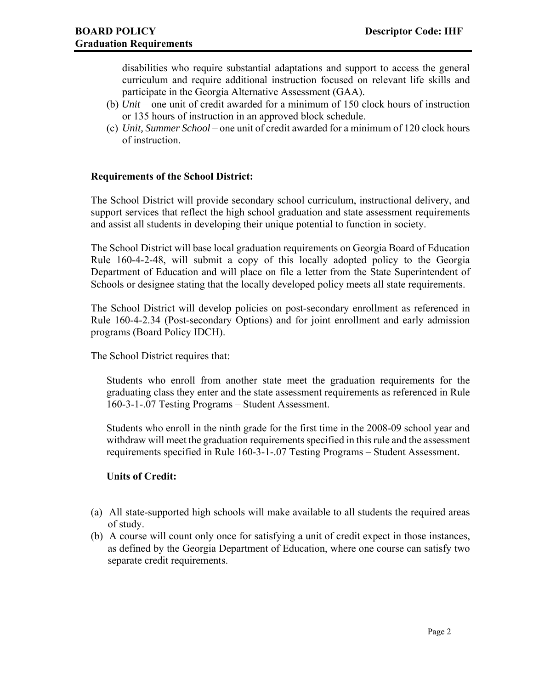disabilities who require substantial adaptations and support to access the general curriculum and require additional instruction focused on relevant life skills and participate in the Georgia Alternative Assessment (GAA).

- (b) *Unit* one unit of credit awarded for a minimum of 150 clock hours of instruction or 135 hours of instruction in an approved block schedule.
- (c) *Unit, Summer School* one unit of credit awarded for a minimum of 120 clock hours of instruction.

## **Requirements of the School District:**

The School District will provide secondary school curriculum, instructional delivery, and support services that reflect the high school graduation and state assessment requirements and assist all students in developing their unique potential to function in society.

The School District will base local graduation requirements on Georgia Board of Education Rule 160-4-2-48, will submit a copy of this locally adopted policy to the Georgia Department of Education and will place on file a letter from the State Superintendent of Schools or designee stating that the locally developed policy meets all state requirements.

The School District will develop policies on post-secondary enrollment as referenced in Rule 160-4-2.34 (Post-secondary Options) and for joint enrollment and early admission programs (Board Policy IDCH).

The School District requires that:

Students who enroll from another state meet the graduation requirements for the graduating class they enter and the state assessment requirements as referenced in Rule 160-3-1-.07 Testing Programs – Student Assessment.

Students who enroll in the ninth grade for the first time in the 2008-09 school year and withdraw will meet the graduation requirements specified in this rule and the assessment requirements specified in Rule 160-3-1-.07 Testing Programs – Student Assessment.

#### **Units of Credit:**

- (a) All state-supported high schools will make available to all students the required areas of study.
- (b) A course will count only once for satisfying a unit of credit expect in those instances, as defined by the Georgia Department of Education, where one course can satisfy two separate credit requirements.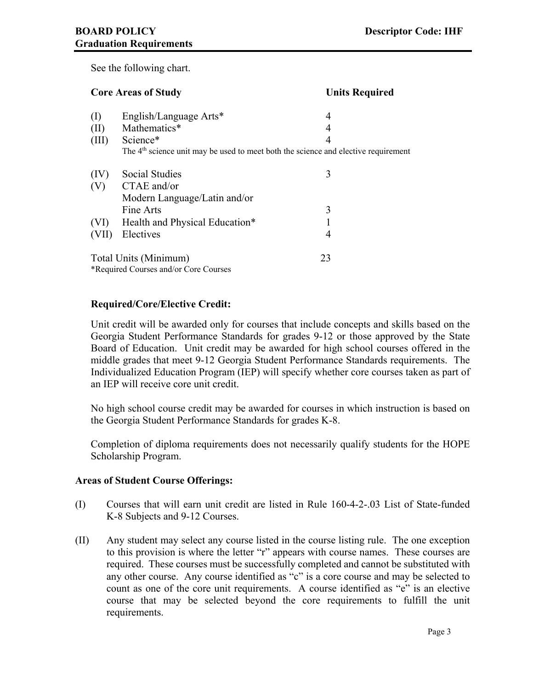See the following chart.

| <b>Core Areas of Study</b> |                                                                                                | <b>Units Required</b> |
|----------------------------|------------------------------------------------------------------------------------------------|-----------------------|
| $\rm (I)$                  | English/Language Arts*                                                                         | 4                     |
| (II)                       | Mathematics*                                                                                   | 4                     |
| (III)                      | Science*                                                                                       | 4                     |
|                            | The 4 <sup>th</sup> science unit may be used to meet both the science and elective requirement |                       |
| (IV)                       | Social Studies                                                                                 | 3                     |
| (V)                        | $CTAE$ and/or                                                                                  |                       |
|                            | Modern Language/Latin and/or                                                                   |                       |
|                            | Fine Arts                                                                                      | 3                     |
| (VI)                       | Health and Physical Education*                                                                 |                       |
| VII)                       | Electives                                                                                      | 4                     |
| Total Units (Minimum)      |                                                                                                | 23                    |
|                            | *Required Courses and/or Core Courses                                                          |                       |

# **Required/Core/Elective Credit:**

Unit credit will be awarded only for courses that include concepts and skills based on the Georgia Student Performance Standards for grades 9-12 or those approved by the State Board of Education. Unit credit may be awarded for high school courses offered in the middle grades that meet 9-12 Georgia Student Performance Standards requirements. The Individualized Education Program (IEP) will specify whether core courses taken as part of an IEP will receive core unit credit.

No high school course credit may be awarded for courses in which instruction is based on the Georgia Student Performance Standards for grades K-8.

Completion of diploma requirements does not necessarily qualify students for the HOPE Scholarship Program.

## **Areas of Student Course Offerings:**

- (I) Courses that will earn unit credit are listed in Rule 160-4-2-.03 List of State-funded K-8 Subjects and 9-12 Courses.
- (II) Any student may select any course listed in the course listing rule. The one exception to this provision is where the letter "r" appears with course names. These courses are required. These courses must be successfully completed and cannot be substituted with any other course. Any course identified as "c" is a core course and may be selected to count as one of the core unit requirements. A course identified as "e" is an elective course that may be selected beyond the core requirements to fulfill the unit requirements.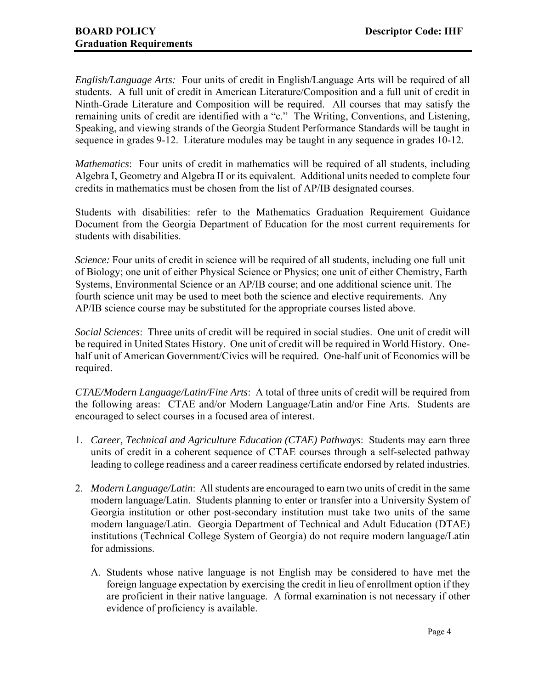*English/Language Arts:* Four units of credit in English/Language Arts will be required of all students. A full unit of credit in American Literature/Composition and a full unit of credit in Ninth-Grade Literature and Composition will be required. All courses that may satisfy the remaining units of credit are identified with a "c." The Writing, Conventions, and Listening, Speaking, and viewing strands of the Georgia Student Performance Standards will be taught in sequence in grades 9-12. Literature modules may be taught in any sequence in grades 10-12.

*Mathematics*: Four units of credit in mathematics will be required of all students, including Algebra I, Geometry and Algebra II or its equivalent. Additional units needed to complete four credits in mathematics must be chosen from the list of AP/IB designated courses.

Students with disabilities: refer to the Mathematics Graduation Requirement Guidance Document from the Georgia Department of Education for the most current requirements for students with disabilities.

*Science:* Four units of credit in science will be required of all students, including one full unit of Biology; one unit of either Physical Science or Physics; one unit of either Chemistry, Earth Systems, Environmental Science or an AP/IB course; and one additional science unit. The fourth science unit may be used to meet both the science and elective requirements. Any AP/IB science course may be substituted for the appropriate courses listed above.

*Social Sciences*: Three units of credit will be required in social studies. One unit of credit will be required in United States History. One unit of credit will be required in World History. Onehalf unit of American Government/Civics will be required. One-half unit of Economics will be required.

*CTAE/Modern Language/Latin/Fine Arts*: A total of three units of credit will be required from the following areas: CTAE and/or Modern Language/Latin and/or Fine Arts. Students are encouraged to select courses in a focused area of interest.

- 1. *Career, Technical and Agriculture Education (CTAE) Pathways*: Students may earn three units of credit in a coherent sequence of CTAE courses through a self-selected pathway leading to college readiness and a career readiness certificate endorsed by related industries.
- 2. *Modern Language/Latin*: All students are encouraged to earn two units of credit in the same modern language/Latin. Students planning to enter or transfer into a University System of Georgia institution or other post-secondary institution must take two units of the same modern language/Latin. Georgia Department of Technical and Adult Education (DTAE) institutions (Technical College System of Georgia) do not require modern language/Latin for admissions.
	- A. Students whose native language is not English may be considered to have met the foreign language expectation by exercising the credit in lieu of enrollment option if they are proficient in their native language. A formal examination is not necessary if other evidence of proficiency is available.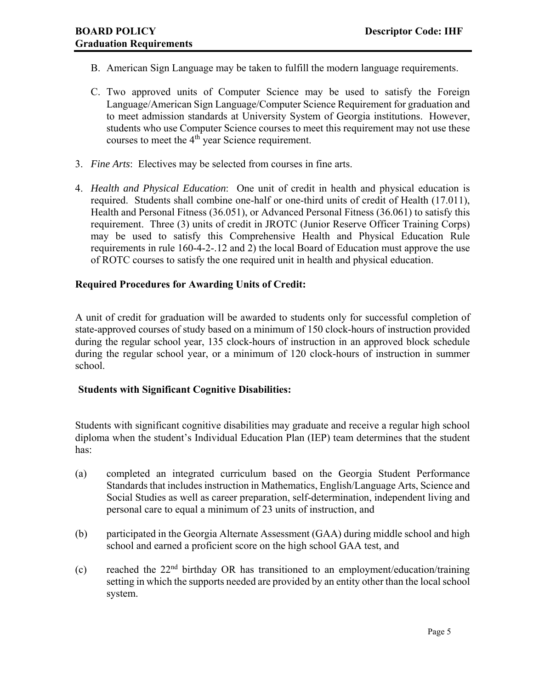- B. American Sign Language may be taken to fulfill the modern language requirements.
- C. Two approved units of Computer Science may be used to satisfy the Foreign Language/American Sign Language/Computer Science Requirement for graduation and to meet admission standards at University System of Georgia institutions. However, students who use Computer Science courses to meet this requirement may not use these courses to meet the  $4<sup>th</sup>$  year Science requirement.
- 3. *Fine Arts*: Electives may be selected from courses in fine arts.
- 4. *Health and Physical Education*: One unit of credit in health and physical education is required. Students shall combine one-half or one-third units of credit of Health (17.011), Health and Personal Fitness (36.051), or Advanced Personal Fitness (36.061) to satisfy this requirement. Three (3) units of credit in JROTC (Junior Reserve Officer Training Corps) may be used to satisfy this Comprehensive Health and Physical Education Rule requirements in rule 160-4-2-.12 and 2) the local Board of Education must approve the use of ROTC courses to satisfy the one required unit in health and physical education.

# **Required Procedures for Awarding Units of Credit:**

A unit of credit for graduation will be awarded to students only for successful completion of state-approved courses of study based on a minimum of 150 clock-hours of instruction provided during the regular school year, 135 clock-hours of instruction in an approved block schedule during the regular school year, or a minimum of 120 clock-hours of instruction in summer school.

## **Students with Significant Cognitive Disabilities:**

 Students with significant cognitive disabilities may graduate and receive a regular high school diploma when the student's Individual Education Plan (IEP) team determines that the student has:

- (a) completed an integrated curriculum based on the Georgia Student Performance Standards that includes instruction in Mathematics, English/Language Arts, Science and Social Studies as well as career preparation, self-determination, independent living and personal care to equal a minimum of 23 units of instruction, and
- (b) participated in the Georgia Alternate Assessment (GAA) during middle school and high school and earned a proficient score on the high school GAA test, and
- (c) reached the 22nd birthday OR has transitioned to an employment/education/training setting in which the supports needed are provided by an entity other than the local school system.